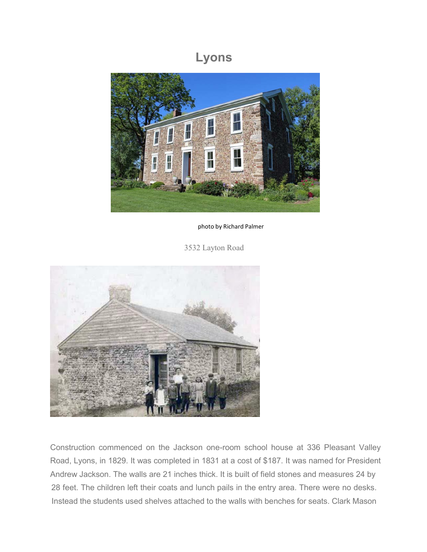## **Lyons**



photo by Richard Palmer

3532 Layton Road



Construction commenced on the Jackson one-room school house at 336 Pleasant Valley Road, Lyons, in 1829. It was completed in 1831 at a cost of \$187. It was named for President Andrew Jackson. The walls are 21 inches thick. It is built of field stones and measures 24 by 28 feet. The children left their coats and lunch pails in the entry area. There were no desks. Instead the students used shelves attached to the walls with benches for seats. Clark Mason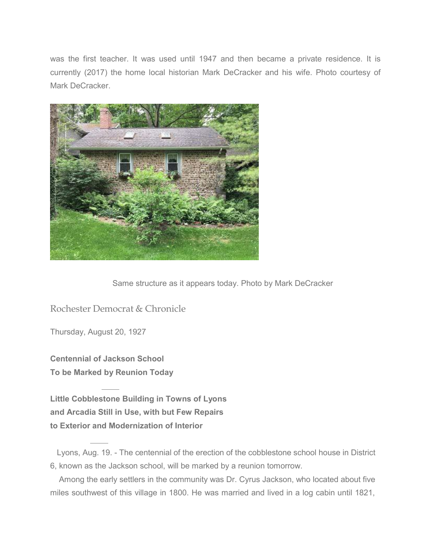was the first teacher. It was used until 1947 and then became a private residence. It is currently (2017) the home local historian Mark DeCracker and his wife. Photo courtesy of Mark DeCracker.



Same structure as it appears today. Photo by Mark DeCracker

Rochester Democrat & Chronicle

Thursday, August 20, 1927

**Centennial of Jackson School To be Marked by Reunion Today**

**Little Cobblestone Building in Towns of Lyons and Arcadia Still in Use, with but Few Repairs to Exterior and Modernization of Interior**

Among the early settlers in the community was Dr. Cyrus Jackson, who located about five miles southwest of this village in 1800. He was married and lived in a log cabin until 1821,

Lyons, Aug. 19. - The centennial of the erection of the cobblestone school house in District 6, known as the Jackson school, will be marked by a reunion tomorrow.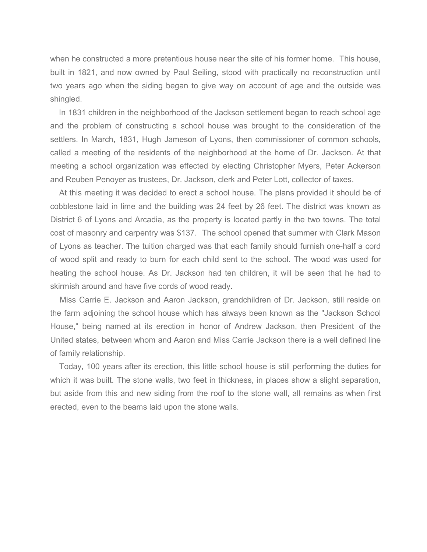when he constructed a more pretentious house near the site of his former home. This house, built in 1821, and now owned by Paul Seiling, stood with practically no reconstruction until two years ago when the siding began to give way on account of age and the outside was shingled.

In 1831 children in the neighborhood of the Jackson settlement began to reach school age and the problem of constructing a school house was brought to the consideration of the settlers. In March, 1831, Hugh Jameson of Lyons, then commissioner of common schools, called a meeting of the residents of the neighborhood at the home of Dr. Jackson. At that meeting a school organization was effected by electing Christopher Myers, Peter Ackerson and Reuben Penoyer as trustees, Dr. Jackson, clerk and Peter Lott, collector of taxes.

At this meeting it was decided to erect a school house. The plans provided it should be of cobblestone laid in lime and the building was 24 feet by 26 feet. The district was known as District 6 of Lyons and Arcadia, as the property is located partly in the two towns. The total cost of masonry and carpentry was \$137. The school opened that summer with Clark Mason of Lyons as teacher. The tuition charged was that each family should furnish one-half a cord of wood split and ready to burn for each child sent to the school. The wood was used for heating the school house. As Dr. Jackson had ten children, it will be seen that he had to skirmish around and have five cords of wood ready.

Miss Carrie E. Jackson and Aaron Jackson, grandchildren of Dr. Jackson, still reside on the farm adjoining the school house which has always been known as the "Jackson School House," being named at its erection in honor of Andrew Jackson, then President of the United states, between whom and Aaron and Miss Carrie Jackson there is a well defined line of family relationship.

Today, 100 years after its erection, this little school house is still performing the duties for which it was built. The stone walls, two feet in thickness, in places show a slight separation, but aside from this and new siding from the roof to the stone wall, all remains as when first erected, even to the beams laid upon the stone walls.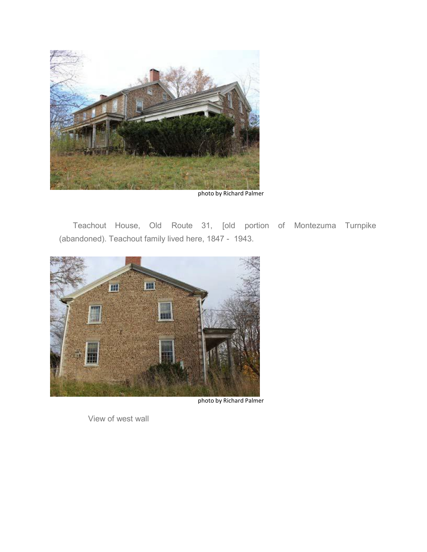

photo by Richard Palmer

Teachout House, Old Route 31, [old portion of Montezuma Turnpike (abandoned). Teachout family lived here, 1847 - 1943.



photo by Richard Palmer

View of west wall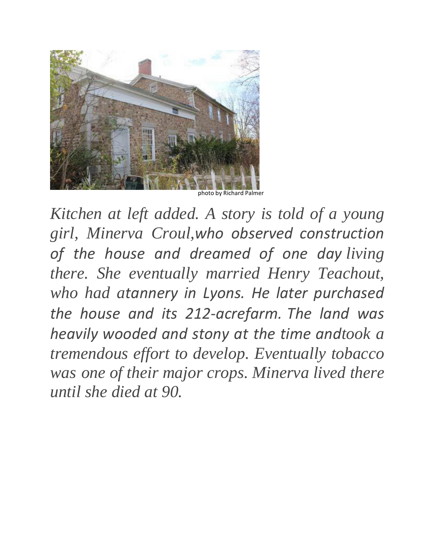

photo by Richard Palmer

*Kitchen at left added. A story is told of a young girl, Minerva Croul,who observed construction of the house and dreamed of one day living there. She eventually married Henry Teachout, who had atannery in Lyons. He later purchased the house and its 212‐acrefarm. The land was heavily wooded and stony at the time andtook a tremendous effort to develop. Eventually tobacco was one of their major crops. Minerva lived there until she died at 90.*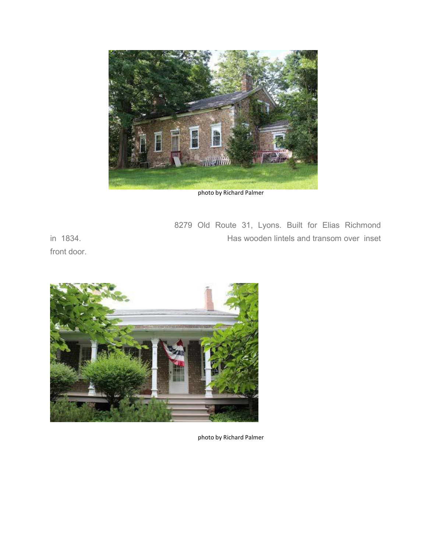

photo by Richard Palmer

8279 Old Route 31, Lyons. Built for Elias Richmond in 1834.

front door.



photo by Richard Palmer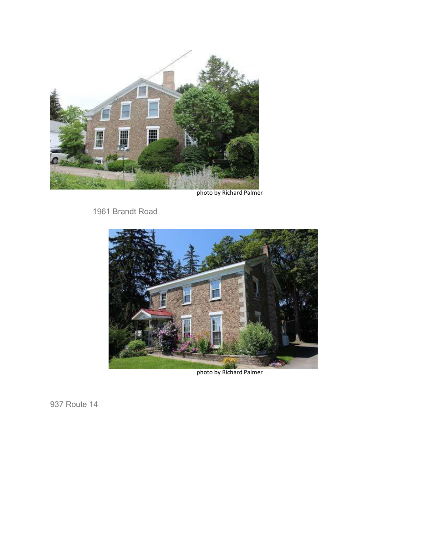

photo by Richard Palmer

1961 Brandt Road



photo by Richard Palmer

937 Route 14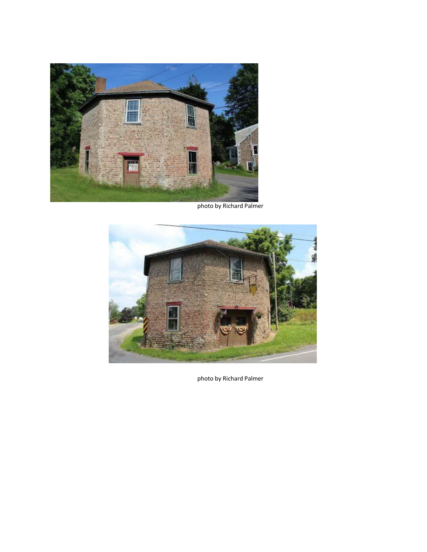

photo by Richard Palmer



photo by Richard Palmer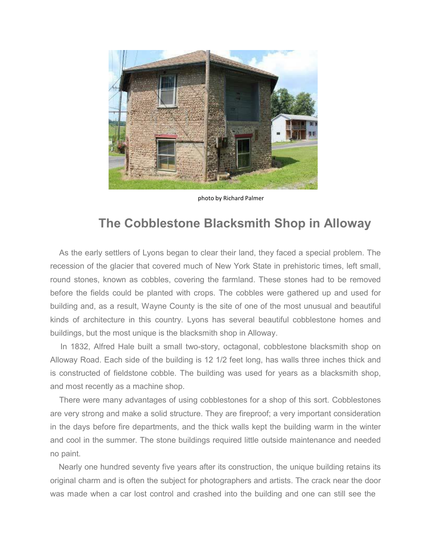

photo by Richard Palmer

## **The Cobblestone Blacksmith Shop in Alloway**

As the early settlers of Lyons began to clear their land, they faced a special problem. The recession of the glacier that covered much of New York State in prehistoric times, left small, round stones, known as cobbles, covering the farmland. These stones had to be removed before the fields could be planted with crops. The cobbles were gathered up and used for building and, as a result, Wayne County is the site of one of the most unusual and beautiful kinds of architecture in this country. Lyons has several beautiful cobblestone homes and buildings, but the most unique is the blacksmith shop in Alloway.

In 1832, Alfred Hale built a small two-story, octagonal, cobblestone blacksmith shop on Alloway Road. Each side of the building is 12 1/2 feet long, has walls three inches thick and is constructed of fieldstone cobble. The building was used for years as a blacksmith shop, and most recently as a machine shop.

There were many advantages of using cobblestones for a shop of this sort. Cobblestones are very strong and make a solid structure. They are fireproof; a very important consideration in the days before fire departments, and the thick walls kept the building warm in the winter and cool in the summer. The stone buildings required little outside maintenance and needed no paint.

Nearly one hundred seventy five years after its construction, the unique building retains its original charm and is often the subject for photographers and artists. The crack near the door was made when a car lost control and crashed into the building and one can still see the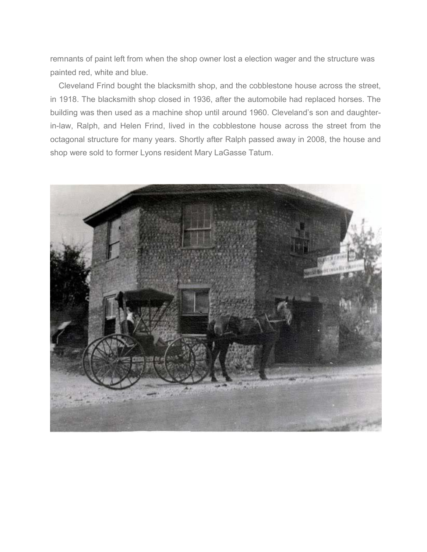remnants of paint left from when the shop owner lost a election wager and the structure was painted red, white and blue.

Cleveland Frind bought the blacksmith shop, and the cobblestone house across the street, in 1918. The blacksmith shop closed in 1936, after the automobile had replaced horses. The building was then used as a machine shop until around 1960. Cleveland's son and daughterin-law, Ralph, and Helen Frind, lived in the cobblestone house across the street from the octagonal structure for many years. Shortly after Ralph passed away in 2008, the house and shop were sold to former Lyons resident Mary LaGasse Tatum.

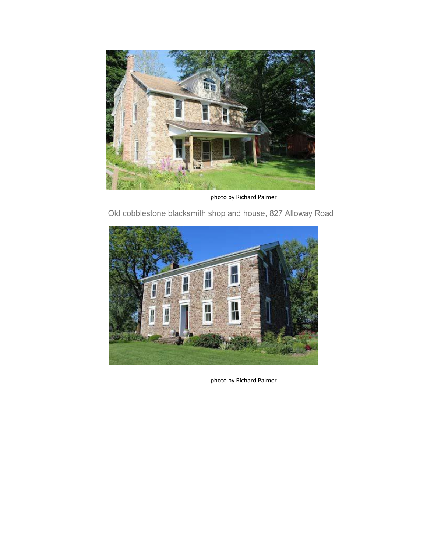

photo by Richard Palmer



Old cobblestone blacksmith shop and house, 827 Alloway Road

photo by Richard Palmer